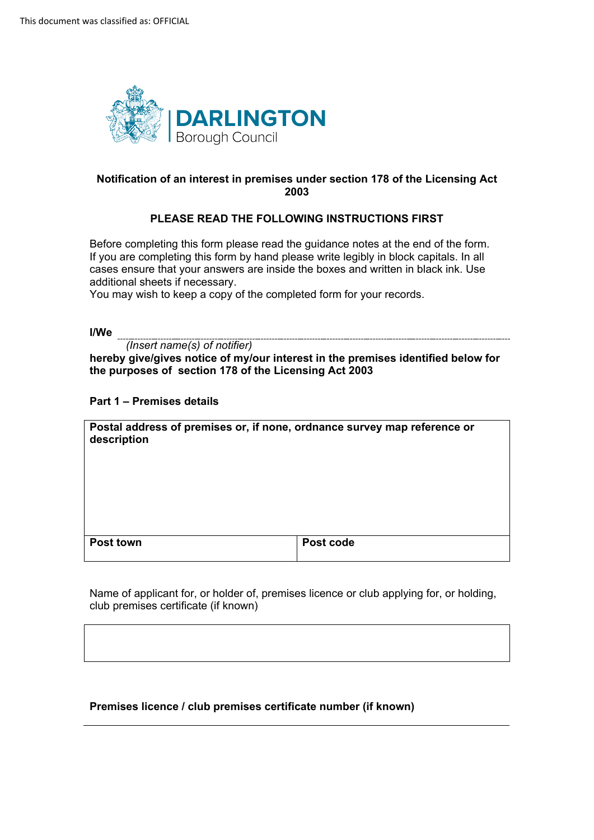

## **Notification of an interest in premises under section 178 of the Licensing Act 2003**

## **PLEASE READ THE FOLLOWING INSTRUCTIONS FIRST**

Before completing this form please read the guidance notes at the end of the form. If you are completing this form by hand please write legibly in block capitals. In all cases ensure that your answers are inside the boxes and written in black ink. Use additional sheets if necessary.

You may wish to keep a copy of the completed form for your records.

**I/We** 

*(Insert name(s) of notifier)*  **hereby give/gives notice of my/our interest in the premises identified below for the purposes of section 178 of the Licensing Act 2003** 

#### **Part 1 – Premises details**

| Postal address of premises or, if none, ordnance survey map reference or<br>description |           |
|-----------------------------------------------------------------------------------------|-----------|
| Post town                                                                               | Post code |

Name of applicant for, or holder of, premises licence or club applying for, or holding, club premises certificate (if known)

#### **Premises licence / club premises certificate number (if known)**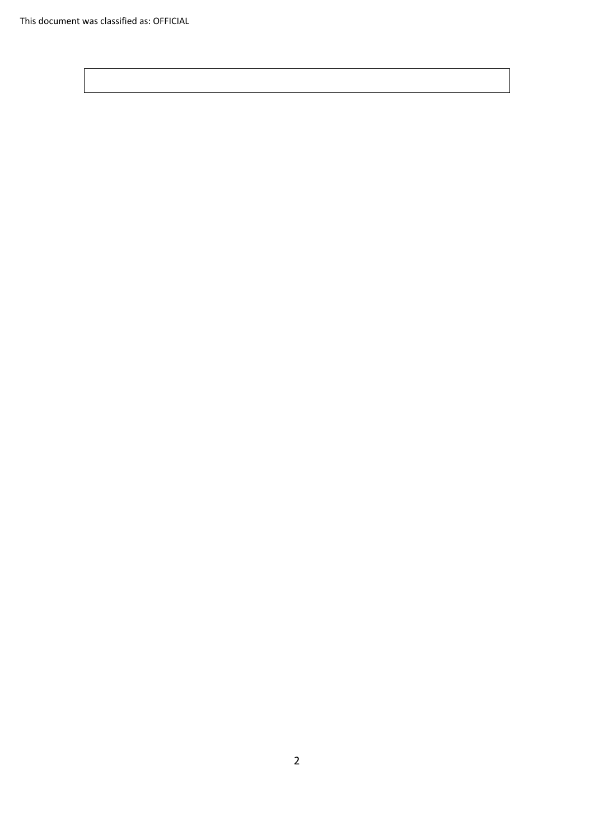2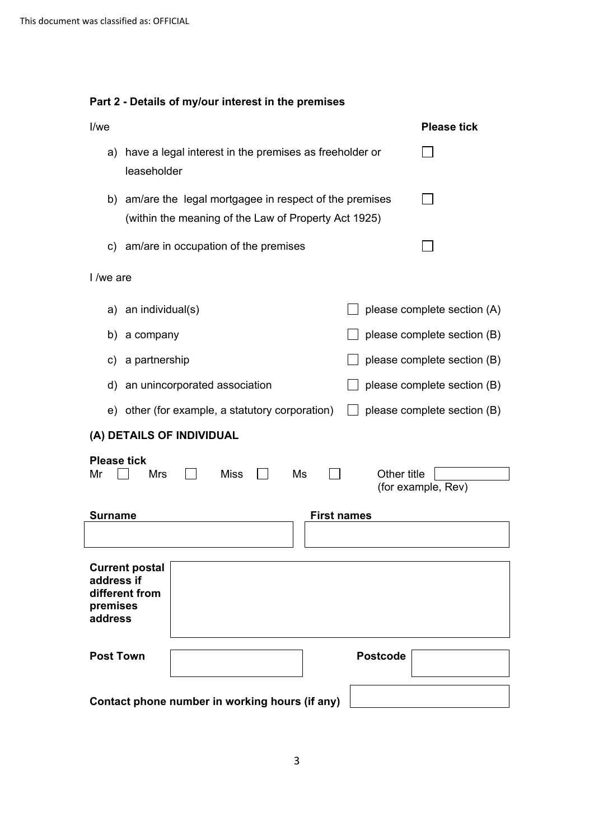# **Part 2 - Details of my/our interest in the premises**

| I/we                                                                                                             | <b>Please tick</b>          |
|------------------------------------------------------------------------------------------------------------------|-----------------------------|
| have a legal interest in the premises as freeholder or<br>a)<br>leaseholder                                      |                             |
| b) am/are the legal mortgagee in respect of the premises<br>(within the meaning of the Law of Property Act 1925) |                             |
| c) am/are in occupation of the premises                                                                          |                             |
| I /we are                                                                                                        |                             |
| a) an individual(s)                                                                                              | please complete section (A) |
| a company<br>b)                                                                                                  | please complete section (B) |
| a partnership<br>c)                                                                                              | please complete section (B) |
| an unincorporated association<br>d)                                                                              | please complete section (B) |
| e) other (for example, a statutory corporation)                                                                  | please complete section (B) |
| (A) DETAILS OF INDIVIDUAL                                                                                        |                             |
| <b>Please tick</b><br><b>Miss</b><br>Other title<br><b>Mrs</b><br>Ms<br>Mr                                       | (for example, Rev)          |
| <b>First names</b><br><b>Surname</b>                                                                             |                             |
|                                                                                                                  |                             |
| <b>Current postal</b><br>address if<br>different from<br>premises<br>address                                     |                             |
| <b>Postcode</b><br><b>Post Town</b>                                                                              |                             |
| Contact phone number in working hours (if any)                                                                   |                             |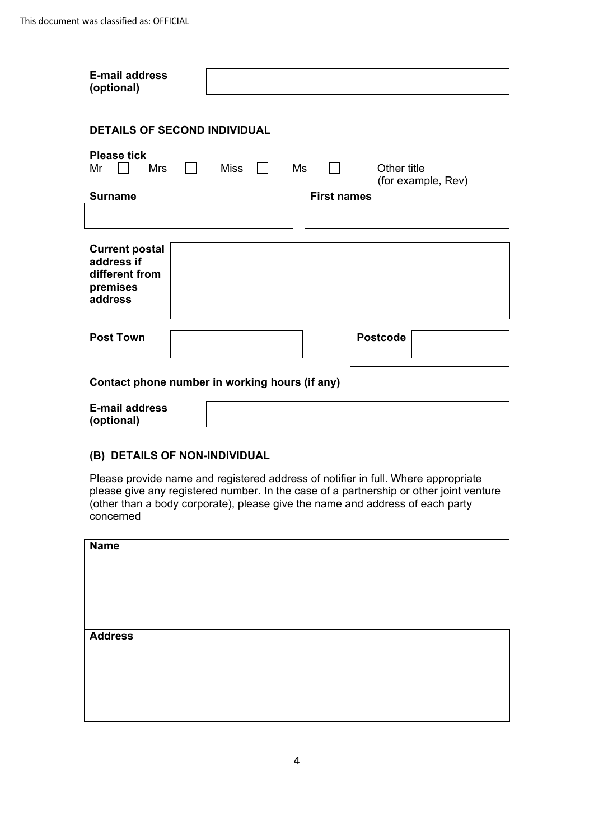| <b>E-mail address</b><br>(optional)                                                       |  |
|-------------------------------------------------------------------------------------------|--|
| <b>DETAILS OF SECOND INDIVIDUAL</b>                                                       |  |
| <b>Please tick</b><br>Mrs<br><b>Miss</b><br>Ms<br>Other title<br>Mr<br>(for example, Rev) |  |
| <b>Surname</b><br><b>First names</b>                                                      |  |
|                                                                                           |  |
| <b>Current postal</b><br>address if<br>different from<br>premises<br>address              |  |
| <b>Post Town</b><br><b>Postcode</b>                                                       |  |
| Contact phone number in working hours (if any)                                            |  |
| <b>E-mail address</b><br>(optional)                                                       |  |

# **(B) DETAILS OF NON-INDIVIDUAL**

Please provide name and registered address of notifier in full. Where appropriate please give any registered number. In the case of a partnership or other joint venture (other than a body corporate), please give the name and address of each party concerned

| <b>Name</b>    |  |  |
|----------------|--|--|
|                |  |  |
|                |  |  |
|                |  |  |
|                |  |  |
| <b>Address</b> |  |  |
|                |  |  |
|                |  |  |
|                |  |  |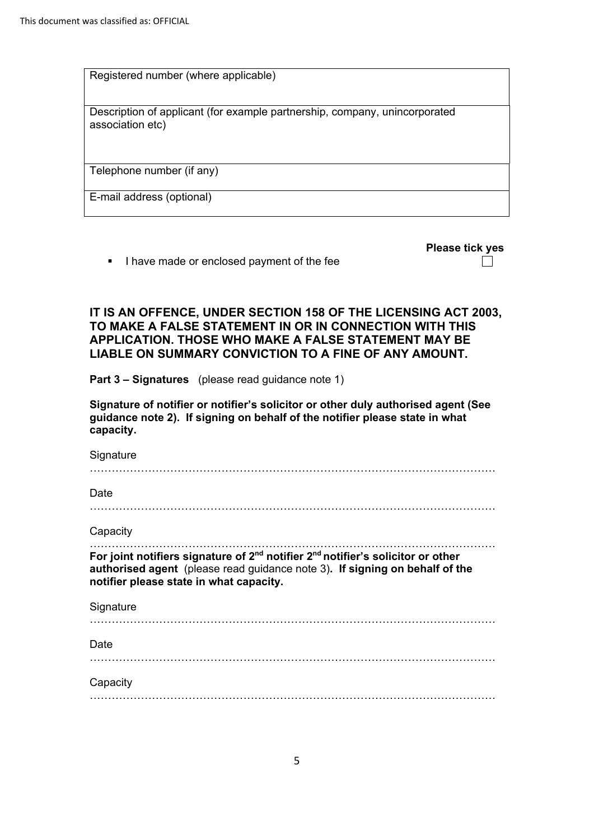| Registered number (where applicable)                                                           |
|------------------------------------------------------------------------------------------------|
| Description of applicant (for example partnership, company, unincorporated<br>association etc) |
| Telephone number (if any)                                                                      |
| E-mail address (optional)                                                                      |

I have made or enclosed payment of the fee

**IT IS AN OFFENCE, UNDER SECTION 158 OF THE LICENSING ACT 2003, TO MAKE A FALSE STATEMENT IN OR IN CONNECTION WITH THIS APPLICATION. THOSE WHO MAKE A FALSE STATEMENT MAY BE LIABLE ON SUMMARY CONVICTION TO A FINE OF ANY AMOUNT.** 

□

**Please tick yes** 

**Part 3 – Signatures** (please read guidance note 1)

**Signature of notifier or notifier's solicitor or other duly authorised agent (See guidance note 2). If signing on behalf of the notifier please state in what capacity.** 

**Signature** 

Date

…………………………………………………………………………………………………

…………………………………………………………………………………………………

Capacity

 **authorised agent** (please read guidance note 3)**. If signing on behalf of the**  Capacity ………………………………………………………………………………………………… **For joint notifiers signature of 2nd notifier 2nd notifier's solicitor or other notifier please state in what capacity.** 

**Signature** 

**Date** 

…………………………………………………………………………………………………

…………………………………………………………………………………………………

Capacity

Capacity …………………………………………………………………………………………………